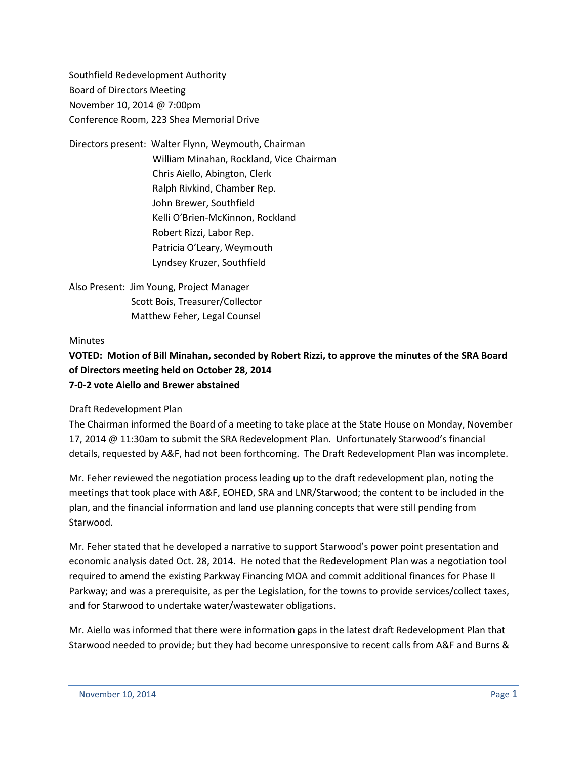Southfield Redevelopment Authority Board of Directors Meeting November 10, 2014 @ 7:00pm Conference Room, 223 Shea Memorial Drive

Directors present: Walter Flynn, Weymouth, Chairman William Minahan, Rockland, Vice Chairman Chris Aiello, Abington, Clerk Ralph Rivkind, Chamber Rep. John Brewer, Southfield Kelli O'Brien-McKinnon, Rockland Robert Rizzi, Labor Rep. Patricia O'Leary, Weymouth Lyndsey Kruzer, Southfield

Also Present: Jim Young, Project Manager Scott Bois, Treasurer/Collector Matthew Feher, Legal Counsel

## **Minutes**

## **VOTED: Motion of Bill Minahan, seconded by Robert Rizzi, to approve the minutes of the SRA Board of Directors meeting held on October 28, 2014 7-0-2 vote Aiello and Brewer abstained**

Draft Redevelopment Plan

The Chairman informed the Board of a meeting to take place at the State House on Monday, November 17, 2014 @ 11:30am to submit the SRA Redevelopment Plan. Unfortunately Starwood's financial details, requested by A&F, had not been forthcoming. The Draft Redevelopment Plan was incomplete.

Mr. Feher reviewed the negotiation process leading up to the draft redevelopment plan, noting the meetings that took place with A&F, EOHED, SRA and LNR/Starwood; the content to be included in the plan, and the financial information and land use planning concepts that were still pending from Starwood.

Mr. Feher stated that he developed a narrative to support Starwood's power point presentation and economic analysis dated Oct. 28, 2014. He noted that the Redevelopment Plan was a negotiation tool required to amend the existing Parkway Financing MOA and commit additional finances for Phase II Parkway; and was a prerequisite, as per the Legislation, for the towns to provide services/collect taxes, and for Starwood to undertake water/wastewater obligations.

Mr. Aiello was informed that there were information gaps in the latest draft Redevelopment Plan that Starwood needed to provide; but they had become unresponsive to recent calls from A&F and Burns &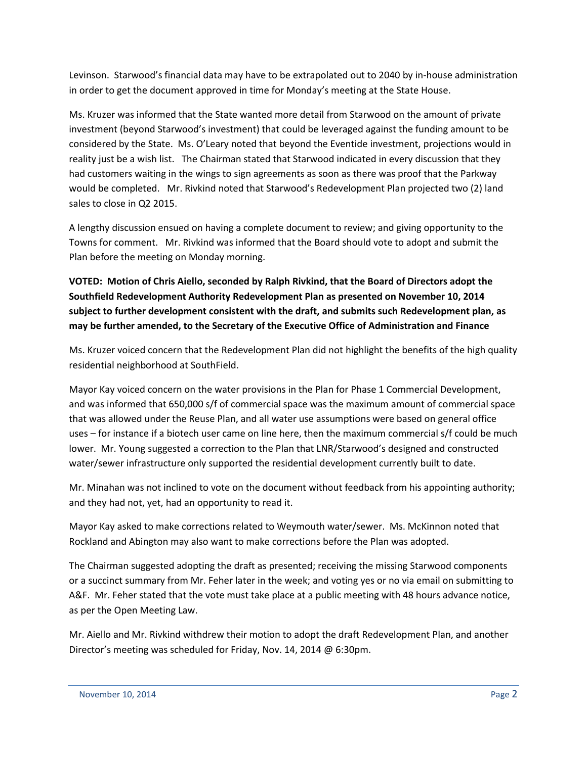Levinson. Starwood's financial data may have to be extrapolated out to 2040 by in-house administration in order to get the document approved in time for Monday's meeting at the State House.

Ms. Kruzer was informed that the State wanted more detail from Starwood on the amount of private investment (beyond Starwood's investment) that could be leveraged against the funding amount to be considered by the State. Ms. O'Leary noted that beyond the Eventide investment, projections would in reality just be a wish list. The Chairman stated that Starwood indicated in every discussion that they had customers waiting in the wings to sign agreements as soon as there was proof that the Parkway would be completed. Mr. Rivkind noted that Starwood's Redevelopment Plan projected two (2) land sales to close in Q2 2015.

A lengthy discussion ensued on having a complete document to review; and giving opportunity to the Towns for comment. Mr. Rivkind was informed that the Board should vote to adopt and submit the Plan before the meeting on Monday morning.

**VOTED: Motion of Chris Aiello, seconded by Ralph Rivkind, that the Board of Directors adopt the Southfield Redevelopment Authority Redevelopment Plan as presented on November 10, 2014 subject to further development consistent with the draft, and submits such Redevelopment plan, as may be further amended, to the Secretary of the Executive Office of Administration and Finance**

Ms. Kruzer voiced concern that the Redevelopment Plan did not highlight the benefits of the high quality residential neighborhood at SouthField.

Mayor Kay voiced concern on the water provisions in the Plan for Phase 1 Commercial Development, and was informed that 650,000 s/f of commercial space was the maximum amount of commercial space that was allowed under the Reuse Plan, and all water use assumptions were based on general office uses – for instance if a biotech user came on line here, then the maximum commercial s/f could be much lower. Mr. Young suggested a correction to the Plan that LNR/Starwood's designed and constructed water/sewer infrastructure only supported the residential development currently built to date.

Mr. Minahan was not inclined to vote on the document without feedback from his appointing authority; and they had not, yet, had an opportunity to read it.

Mayor Kay asked to make corrections related to Weymouth water/sewer. Ms. McKinnon noted that Rockland and Abington may also want to make corrections before the Plan was adopted.

The Chairman suggested adopting the draft as presented; receiving the missing Starwood components or a succinct summary from Mr. Feher later in the week; and voting yes or no via email on submitting to A&F. Mr. Feher stated that the vote must take place at a public meeting with 48 hours advance notice, as per the Open Meeting Law.

Mr. Aiello and Mr. Rivkind withdrew their motion to adopt the draft Redevelopment Plan, and another Director's meeting was scheduled for Friday, Nov. 14, 2014 @ 6:30pm.